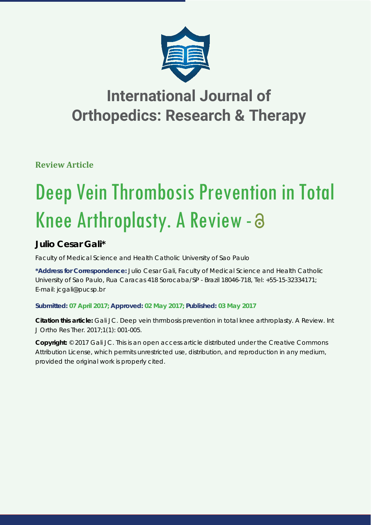

# **International Journal of Orthopedics: Research & Therapy**

**Review Article** 

# Deep Vein Thrombosis Prevention in Total Knee Arthroplasty. A Review -  $\partial$

# **Julio Cesar Gali\***

*Faculty of Medical Science and Health Catholic University of Sao Paulo*

**\*Address for Correspondence:** Julio Cesar Gali, Faculty of Medical Science and Health Catholic University of Sao Paulo, Rua Caracas 418 Sorocaba/SP - Brazil 18046-718, Tel: +55-15-32334171; E-mail: jcgali@pucsp.br

### **Submitted: 07 April 2017; Approved: 02 May 2017; Published: 03 May 2017**

**Citation this article:** Gali JC. Deep vein thrmbosis prevention in total knee arthroplasty. A Review. Int J Ortho Res Ther. 2017;1(1): 001-005.

**Copyright:** © 2017 Gali JC. This is an open access article distributed under the Creative Commons Attribution License, which permits unrestricted use, distribution, and reproduction in any medium, provided the original work is properly cited.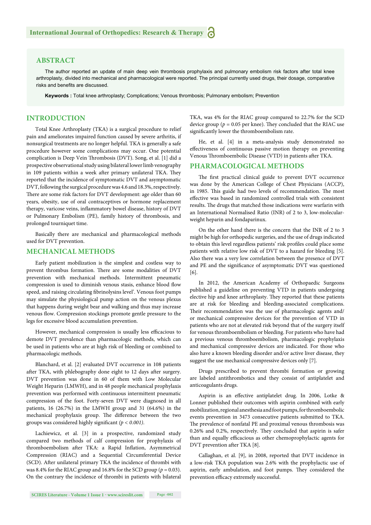#### **ABSTRACT**

The author reported an update of main deep vein thrombosis prophylaxis and pulmonary embolism risk factors after total knee arthroplasty, divided into mechanical and pharmacological were reported. The principal currently used drugs, their dosage, comparative risks and benefits are discussed.

**Keywords :** Total knee arthroplasty; Complications; Venous thrombosis; Pulmonary embolism; Prevention

#### **INTRODUCTION**

Total Knee Arthroplasty (TKA) is a surgical procedure to relief pain and ameliorates impaired function caused by severe arthritis, if nonsurgical treatments are no longer helpful. TKA is generally a safe procedure however some complications may occur. One potential complication is Deep Vein Thrombosis (DVT). Song, et al. [1] did a prospective observational study using bilateral lower limb venography in 109 patients within a week after primary unilateral TKA. They reported that the incidence of symptomatic DVT and asymptomatic DVT, following the surgical procedure was 4.6 and 18.3%, respectively. There are some risk factors for DVT development: age older than 60 years, obesity, use of oral contraceptives or hormone replacement therapy, varicose veins, inflammatory bowel disease, history of DVT or Pulmonary Embolism (PE), family history of thrombosis, and prolonged tourniquet time.

Basically there are mechanical and pharmacological methods used for DVT prevention.

#### **MECHANICAL METHODS**

Early patient mobilization is the simplest and costless way to prevent thrombus formation. There are some modalities of DVT prevention with mechanical methods. Intermittent pneumatic compression is used to diminish venous stasis, enhance blood flow speed, and raising circulating fibrinolysins level'. Venous foot pumps may simulate the physiological pump action on the venous plexus that happens during weight bear and walking and thus may increase venous flow. Compression stockings promote gentle pressure to the legs for excessive blood accumulation prevention.

However, mechanical compression is usually less efficacious to demote DVT prevalence than pharmacologic methods, which can be used in patients who are at high risk of bleeding or combined to pharmacologic methods.

Blanchard, et al. [2] evaluated DVT occurrence in 108 patients after TKA, with phlebography done eight to 12 days after surgery. DVT prevention was done in 60 of them with Low Molecular Weight Heparin (LMWH), and in 48 people mechanical prophylaxis prevention was performed with continuous intermittent pneumatic compression of the foot. Forty-seven DVT were diagnosed in all patients, 16 (26.7%) in the LMWH group and 31 (64.6%) in the mechanical prophylaxis group. The difference between the two groups was considered highly significant  $(p < 0.001)$ .

Lachiewicz, et al. [3] in a prospective, randomized study compared two methods of calf compression for prophylaxis of thromboembolism after TKA: a Rapid Inflation, Asymmetrical Compression (RIAC) and a Sequential Circumferential Device (SCD). After unilateral primary TKA the incidence of thrombi with was 8.4% for the RIAC group and 16.8% for the SCD group ( $p = 0.03$ ). On the contrary the incidence of thrombi in patients with bilateral TKA, was 4% for the RIAC group compared to 22.7% for the SCD device group ( $p = 0.05$  per knee). They concluded that the RIAC use significantly lower the thromboembolism rate.

He, et al. [4] in a meta-analysis study demonstrated no effectiveness of continuous passive motion therapy on preventing Venous Thromboembolic Disease (VTD) in patients after TKA.

#### **PHARMACOLOGICAL METHODS**

The first practical clinical guide to prevent DVT occurrence was done by the American College of Chest Physicians (ACCP), in 1985. This guide had two levels of recommendation. The most effective was based in randomized controlled trials with consistent results. The drugs that matched those indications were warfarin with an International Normalised Ratio (INR) of 2 to 3, low-molecularweight heparin and fondaparinux.

On the other hand there is the concern that the INR of 2 to 3 might be high for orthopedic surgeries, and the use of drugs indicated to obtain this level regardless patients' risk profiles could place some patients with relative low risk of DVT to a hazard for bleeding [5]. Also there was a very low correlation between the presence of DVT and PE and the significance of asymptomatic DVT was questioned [6].

In 2012, the American Academy of Orthopaedic Surgeons published a guideline on preventing VTD in patients undergoing elective hip and knee arthroplasty. They reported that these patients are at risk for bleeding and bleeding-associated complications. Their recommendation was the use of pharmacologic agents and/ or mechanical compressive devices for the prevention of VTD in patients who are not at elevated risk beyond that of the surgery itself for venous thromboembolism or bleeding. For patients who have had a previous venous thromboembolism, pharmacologic prophylaxis and mechanical compressive devices are indicated. For those who also have a known bleeding disorder and/or active liver disease, they suggest the use mechanical compressive devices only [7].

Drugs prescribed to prevent thrombi formation or growing are labeled antithrombotics and they consist of antiplatelet and anticoagulants drugs.

Aspirin is an effective antiplatelet drug. In 2006, Lotke & Lonner published their outcomes with aspirin combined with early mobilization, regional anesthesia and foot pumps, for thromboembolic events prevention in 3473 consecutive patients submitted to TKA. The prevalence of nonfatal PE and proximal venous thrombosis was 0.26% and 0.2%, respectively. They concluded that aspirin is safer than and equally efficacious as other chemoprophylactic agents for DVT prevention after TKA [8].

Callaghan, et al. [9], in 2008, reported that DVT incidence in a low-risk TKA population was 2.6% with the prophylactic use of aspirin, early ambulation, and foot pumps. They considered the prevention efficacy extremely successful.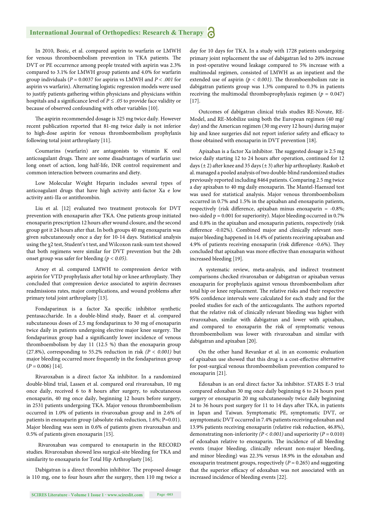#### **International Journal of Orthopedics: Research & Therapy**

In 2010, Bozic, et al. compared aspirin to warfarin or LMWH for venous thromboembolism prevention in TKA patients. The DVT or PE occurrence among people treated with aspirin was 2.3% compared to 3.1% for LMWH group patients and 4.0% for warfarin group individuals (*P* = 0.0037 for aspirin vs LMWH and *P < .001* for aspirin vs warfarin). Alternating logistic regression models were used to justify patients gathering within physicians and physicians within hospitals and a significance level of  $P \leq .05$  to provide face validity or because of observed confounding with other variables [10].

The aspirin recommended dosage is 325 mg twice daily. However recent publication reported that 81-mg twice daily is not inferior to high-dose aspirin for venous thromboembolism prophylaxis following total joint arthroplasty [11].

Coumarins (warfarin) are antagonists to vitamin K oral anticoagulant drugs. There are some disadvantages of warfarin use: long onset of action, long half-life, INR control requirement and common interaction between coumarins and diety.

Low Molecular Weight Heparin includes several types of anticoagulant drugs that have high activity anti-factor Xa e low activity anti-IIa or antithrombin.

Liu et al. [12] evaluated two treatment protocols for DVT prevention with enoxaparin after TKA. One patients group initiated enoxaparin prescription 12 hours after wound closure, and the second group got it 24 hours after that. In both groups 40 mg enoxaparin was given subcutaneously once a day for 10-14 days. Statistical analysis using the χ2 test, Student's t test, and Wilcoxon rank-sum test showed that both regimens were similar for DVT prevention but the 24h onset group was safer for bleeding *(p < 0.05)*.

Arsoy et al. compared LMWH to compression device with aspirin for VTD prophylaxis after total hip or knee arthroplasty. They concluded that compression device associated to aspirin decreases readmissions rates, major complications, and wound problems after primary total joint arthroplasty [13].

Fondaparinux is a factor Xa specific inhibitor synthetic pentasaccharide. In a double-blind study, Bauer et al. compared subcutaneous doses of 2.5 mg fondaparinux to 30 mg of enoxaparin twice daily in patients undergoing elective major knee surgery. The fondaparinux group had a significantly lower incidence of venous thromboembolism by day 11 (12.5 %) than the enoxaparin group (27.8%), corresponding to 55.2% reduction in risk *(P < 0.001)* but major bleeding occurred more frequently in the fondaparinux group  $(P = 0.006)$  [14].

Rivaroxaban is a direct factor Xa inhibitor. In a randomized double-blind trial, Lassen et al. compared oral rivaroxaban, 10 mg once daily, received 6 to 8 hours after surgery, to subcutaneous enoxaparin, 40 mg once daily, beginning 12 hours before surgery, in 2531 patients undergoing TKA. Major venous thromboembolism occurred in 1.0% of patients in rivaroxaban group and in 2.6% of patients in enoxaparin group (absolute risk reduction, 1.6%; P=0.01). Major bleeding was seen in 0.6% of patients given rivaroxaban and 0.5% of patients given enoxaparin [15].

 Rivaroxaban was compared to enoxaparin in the RECORD studies. Rivaroxaban showed less surgical-site bleeding for TKA and similarity to enoxaparin for Total Hip Arthroplasty [16].

Dabigatran is a direct thrombin inhibitor. The proposed dosage is 110 mg, one to four hours after the surgery, then 110 mg twice a

**SCIRES Literature - Volume 1 Issue 1 - www.scireslit.com Page -003**

day for 10 days for TKA. In a study with 1728 patients undergoing primary joint replacement the use of dabigatran led to 20% increase in post-operative wound leakage compared to 5% increase with a multimodal regimen, consisted of LMWH as an inpatient and the extended use of aspirin  $(p < 0.001)$ . The thromboembolism rate in dabigatran patients group was 1.3% compared to 0.3% in patients receiving the multimodal thromboprophylaxis regimen ( $p = 0.047$ ) [17].

Outcomes of dabigatran clinical trials studies RE-Novate, RE-Model, and RE-Mobilize using both the European regimen (40 mg/ day) and the American regimen (30 mg every 12 hours) during major hip and knee surgeries did not report inferior safety and efficacy to those obtained with enoxaparin in DVT prevention [18].

Apixaban is a factor Xa inhibitor. The suggested dosage is 2.5 mg twice daily starting 12 to 24 hours after operation, continued for 12 days ( $\pm$  2) after knee and 35 days ( $\pm$  3) after hip arthroplasty. Raskob et al. managed a pooled analysis of two double-blind randomized studies previously reported including 8464 patients. Comparing 2.5 mg twice a day apixaban to 40 mg daily enoxaparin. The Mantel-Haenszel test was used for statistical analysis. Major venous thromboembolism occurred in 0.7% and 1.5% in the apixaban and enoxaparin patients, respectively (risk difference, apixaban minus enoxaparin =  $-0.8\%$ ; two-sided  $p = 0.001$  for superiority). Major bleeding occurred in 0.7% and 0.8% in the apixaban and enoxaparin patients, respectively (risk difference -0.02%). Combined major and clinically relevant nonmajor bleeding happened in 14.4% of patients receiving apixaban and 4.9% of patients receiving enoxaparin (risk difference -0.6%). They concluded that apixaban was more effective than enoxaparin without increased bleeding [19].

A systematic review, meta-analysis, and indirect treatment comparisons checked rivaroxaban or dabigatran or apixaban versus enoxaparin for prophylaxis against venous thromboembolism after total hip or knee replacement. The relative risks and their respective 95% confidence intervals were calculated for each study and for the pooled studies for each of the anticoagulants. The authors reported that the relative risk of clinically relevant bleeding was higher with rivaroxaban, similar with dabigatran and lower with apixaban, and compared to enoxaparin the risk of symptomatic venous thromboembolism was lower with rivaroxaban and similar with dabigatran and apixaban [20].

On the other hand Revankar et al. in an economic evaluation of apixaban use showed that this drug is a cost-effective alternative for post-surgical venous thromboembolism prevention compared to enoxaparin [21].

Edoxaban is an oral direct factor Xa inhibitor. STARS E-3 trial compared edoxaban 30 mg once daily beginning 6 to 24 hours post surgery or enoxaparin 20 mg subcutaneously twice daily beginning 24 to 36 hours post surgery for 11 to 14 days after TKA, in patients in Japan and Taiwan. Symptomatic PE, symptomatic DVT, or asymptomatic DVT occurred in 7.4% patients receiving edoxaban and 13.9% patients receiving enoxaparin (relative risk reduction, 46.8%), demonstrating non-inferiority *(P < 0.001)* and superiority (*P* = 0.010) of edoxaban relative to enoxaparin. The incidence of all bleeding events (major bleeding, clinically relevant non-major bleeding, and minor bleeding) was 22.3% versus 18.9% in the edoxaban and enoxaparin treatment groups, respectively  $(P = 0.265)$  and suggesting that the superior efficacy of edoxaban was not associated with an increased incidence of bleeding events [22].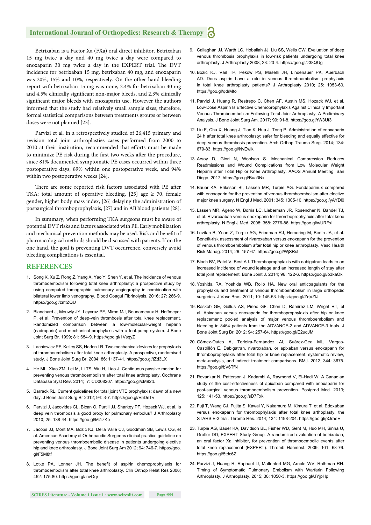#### **International Journal of Orthopedics: Research & Therapy**

Betrixaban is a Factor Xa (FXa) oral direct inhibitor. Betrixaban 15 mg twice a day and 40 mg twice a day were compared to enoxaparin 30 mg twice a day in the EXPERT trial. The DVT incidence for betrixaban 15 mg, betrixaban 40 mg, and enoxaparin was 20%, 15% and 10%, respectively. On the other hand bleeding report with betrixaban 15 mg was none, 2.4% for betrixaban 40 mg and 4.5% clinically significant non-major bleeds, and 2.3% clinically significant major bleeds with enoxaparin use. However the authors informed that the study had relatively small sample sizes; therefore, formal statistical comparisons between treatments groups or between doses were not planned [23].

Parvizi et al. in a retrospectively studied of 26,415 primary and revision total joint arthroplasties cases performed from 2000 to 2010 at their institution, recommended that efforts must be made to minimize PE risk during the first two weeks after the procedure, since 81% documented symptomatic PE cases occurred within three postoperative days, 89% within one postoperative week, and 94% within two postoperative weeks [24].

There are some reported risk factors associated with PE after TKA: total amount of operative bleeding, [25] age  $\geq$  70, female gender, higher body mass index, [26] delaying the administration of postsurgical thromboprophylaxis, [27] and in AB blood patients [28].

In summary, when performing TKA surgeons must be aware of potential DVT risks and factors associated with PE. Early mobilization and mechanical prevention methods may be used. Risk and benefit of pharmacological methods should be discussed with patients. If on the one hand, the goal is preventing DVT occurrence, conversely avoid bleeding complications is essential.

#### **REFERENCES**

- 1. Song K, Xu Z, Rong Z, Yang X, Yao Y, Shen Y, et al. The incidence of venous thromboembolism following total knee arthroplasty: a prospective study by using computed tomographic pulmonary angiography in combination with bilateral lower limb venography. Blood Coagul Fibrinolysis. 2016; 27: 266-9. https://goo.gl/zmtZQU
- 2. Blanchard J, Meuwly JY, Leyvraz PF, Miron MJ, Bounameaux H, Hoffmeyer P, et al. Prevention of deep-vein thrombosis after total knee replacement. Randomized comparison between a low-molecular-weight heparin (nadroparin) and mechanical prophylaxis with a foot-pump system. J Bone Joint Surg Br. 1999; 81: 654-9. https://goo.gl/1VsqyZ
- 3. Lachiewicz PF, Kelley SS, Haden LR. Two mechanical devices for prophylaxis of thromboembolism after total knee arthroplasty. A prospective, randomised study. J Bone Joint Surg Br. 2004; 86: 1137-41. https://goo.gl/tZd3LX
- 4. He ML, Xiao ZM, Lei M, Li TS, Wu H, Liao J. Continuous passive motion for preventing venous thromboembolism after total knee arthroplasty. Cochrane Database Syst Rev. 2014; 7: CD008207. https://goo.gl/cM92tL
- 5. Barrack RL. Current guidelines for total joint VTE prophylaxis: dawn of a new day. J Bone Joint Surg Br 2012; 94: 3-7. https://goo.gl/E5DeTv
- 6. Parvizi J, Jacovides CL, Bican O, Purtill JJ, Sharkey PF, Hozack WJ, et al. Is deep vein thrombosis a good proxy for pulmonary embolus? J Arthroplasty 2010; 25: 138-44. https://goo.gl/MZizKp
- 7. Jacobs JJ, Mont MA, Bozic KJ, Della Valle CJ, Goodman SB, Lewis CG, et al. American Academy of Orthopaedic Surgeons clinical practice guideline on preventing venous thromboembolic disease in patients undergoing elective hip and knee arthroplasty. J Bone Joint Surg Am 2012; 94: 746-7. https://goo. gl/F5M8tf
- 8. Lotke PA, Lonner JH. The benefit of aspirin chemoprophylaxis for thromboembolism after total knee arthroplasty. Clin Orthop Relat Res 2006; 452: 175-80. https://goo.gl/invQqr
- 9. Callaghan JJ, Warth LC, Hoballah JJ, Liu SS, Wells CW. Evaluation of deep venous thrombosis prophylaxis in low-risk patients undergoing total knee arthroplasty. J Arthroplasty 2008; 23: 20-4. https://goo.gl/z38QUg
- 10. Bozic KJ, Vail TP, Pekow PS, Maselli JH, Lindenauer PK, Auerbach AD. Does aspirin have a role in venous thromboembolism prophylaxis in total knee arthroplasty patients? J Arthroplasty 2010; 25: 1053-60. https://goo.gl/qdrMto
- 11. Parvizi J, Huang R, Restrepo C, Chen AF, Austin MS, Hozack WJ, et al. Low-Dose Aspirin Is Effective Chemoprophylaxis Against Clinically Important Venous Thromboembolism Following Total Joint Arthroplasty. A Preliminary Analysis. J Bone Joint Surg Am. 2017; 99: 91-8. https://goo.gl/rW3Uf3
- 12. Liu F, Chu X, Huang J, Tian K, Hua J, Tong P. Administration of enoxaparin 24 h after total knee arthroplasty: safer for bleeding and equally effective for deep venous thrombosis prevention. Arch Orthop Trauma Surg. 2014; 134: 679-83. https://goo.gl/NvEwik
- 13. Arsoy D, Giori N, Woolson S. Mechanical Compression Reduces Readmissions and Wound Complications from Low Molecular Weight Heparin after Total Hip or Knee Arthroplasty. AAOS Annual Meeting. San Diego, 2017. https://goo.gl/Bua3Nx
- 14. Bauer KA, Eriksson BI, Lassen MR, Turpie AG. Fondaparinux compared with enoxaparin for the prevention of venous thromboembolism after elective major knee surgery. N Engl J Med. 2001; 345: 1305-10. https://goo.gl/yAYDl0
- 15. Lassen MR, Ageno W, Borris LC, Lieberman JR, Rosencher N, Bandel TJ, et al. Rivaroxaban versus enoxaparin for thromboprophylaxis after total knee arthroplasty. N Engl J Med. 2008; 358: 2776-86. https://goo.gl/wURFxI
- 16. Levitan B, Yuan Z, Turpie AG, Friedman RJ, Homering M, Berlin JA, et al. Benefit-risk assessment of rivaroxaban versus enoxaparin for the prevention of venous thromboembolism after total hip or knee arthroplasty. Vasc Health Risk Manag. 2014; 26: 157-67. https://goo.gl/WjSRst
- 17. Bloch BV, Patel V, Best AJ. Thromboprophylaxis with dabigatran leads to an increased incidence of wound leakage and an increased length of stay after total joint replacement. Bone Joint J. 2014; 96: 122-6. https://goo.gl/o3kaOk
- 18. Yoshida RA, Yoshida WB, Rollo HA. New oral anticoagulants for the prophylaxis and treatment of venous thromboembolism in large orthopedic surgeries. J Vasc Bras. 2011; 10: 145-53. https://goo.gl/ZqVZIJ
- 19. Raskob GE, Gallus AS, Pineo GF, Chen D, Ramirez LM, Wright RT, et al. Apixaban versus enoxaparin for thromboprophylaxis after hip or knee replacement: pooled analysis of major venous thromboembolism and bleeding in 8464 patients from the ADVANCE-2 and ADVANCE-3 trials. J Bone Joint Surg Br. 2012; 94: 257-64. https://goo.gl/E2uqJM
- 20. Gómez-Outes A, Terleira-Fernández AI, Suárez-Gea ML, Vargas-Castrillón E. Dabigatran, rivaroxaban, or apixaban versus enoxaparin for thromboprophylaxis after total hip or knee replacement: systematic review, meta-analysis, and indirect treatment comparisons. BMJ. 2012; 344: 3675. https://goo.gl/bV6TfN
- 21. Revankar N, Patterson J, Kadambi A, Raymond V, El-Hadi W. A Canadian study of the cost-effectiveness of apixaban compared with enoxaparin for post-surgical venous thromboembolism prevention. Postgrad Med. 2013; 125: 141-53. https://goo.gl/sD7Fxk
- 22. Fuji T, Wang CJ, Fujita S, Kawai Y, Nakamura M, Kimura T, et al. Edoxaban versus enoxaparin for thrombophylaxis after total knee arthoplasty: the STARS E-3 trial. Thromb Res. 2014; 134: 1198-204. https://goo.gl/pQraeE
- 23. Turpie AG, Bauer KA, Davidson BL, Fisher WD, Gent M, Huo MH, Sinha U, Gretler DD; EXPERT Study Group. A randomized evaluation of betrixaban, an oral factor Xa inhibitor, for prevention of thromboembolic events after total knee replacement (EXPERT). Thromb Haemost. 2009; 101: 68-76. https://goo.gl/5tdc6Z
- 24. Parvizi J, Huang R, Raphael IJ, Maltenfort MG, Arnold WV, Rothman RH. Timing of Symptomatic Pulmonary Embolism with Warfarin Following Arthroplasty. J Arthroplasty. 2015; 30: 1050-3. https://goo.gl/UYjpHp